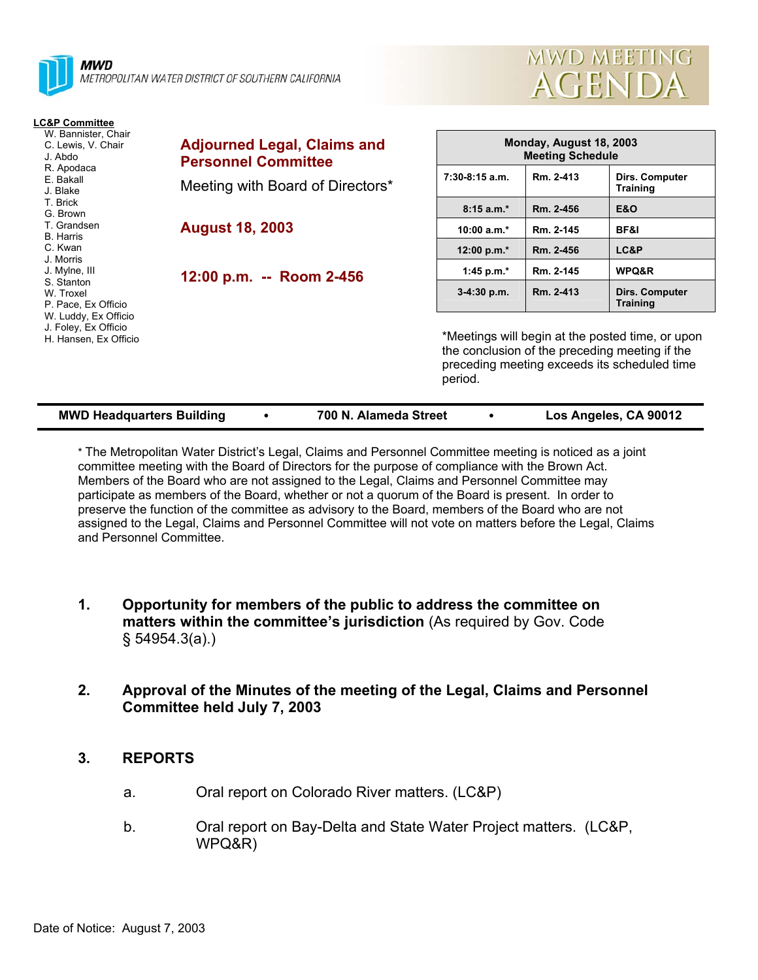



| <b>LC&amp;P Committee</b>                                             |                                                                  |                                                                                                                                                               |           |                                          |  |
|-----------------------------------------------------------------------|------------------------------------------------------------------|---------------------------------------------------------------------------------------------------------------------------------------------------------------|-----------|------------------------------------------|--|
| W. Bannister, Chair<br>C. Lewis, V. Chair<br>J. Abdo                  | <b>Adjourned Legal, Claims and</b><br><b>Personnel Committee</b> | Monday, August 18, 2003<br><b>Meeting Schedule</b>                                                                                                            |           |                                          |  |
| R. Apodaca<br>E. Bakall<br>J. Blake                                   | Meeting with Board of Directors*                                 | $7:30-8:15$ a.m.                                                                                                                                              | Rm. 2-413 | <b>Dirs. Computer</b><br><b>Training</b> |  |
| T. Brick<br>G. Brown                                                  |                                                                  | $8:15a.m.*$                                                                                                                                                   | Rm. 2-456 | <b>E&amp;O</b>                           |  |
| T. Grandsen<br><b>B.</b> Harris                                       | <b>August 18, 2003</b>                                           | $10:00 a.m.*$                                                                                                                                                 | Rm. 2-145 | BF&I                                     |  |
| C. Kwan<br>J. Morris                                                  |                                                                  | 12:00 p.m.*                                                                                                                                                   | Rm. 2-456 | LC&P                                     |  |
| J. Mylne, III                                                         | 12:00 p.m. -- Room 2-456                                         | 1:45 p.m. $*$                                                                                                                                                 | Rm. 2-145 | WPQ&R                                    |  |
| S. Stanton<br>W. Troxel<br>P. Pace, Ex Officio                        |                                                                  | $3-4:30$ p.m.                                                                                                                                                 | Rm. 2-413 | <b>Dirs. Computer</b><br><b>Training</b> |  |
| W. Luddy, Ex Officio<br>J. Foley, Ex Officio<br>H. Hansen, Ex Officio |                                                                  | *Meetings will begin at the posted time, or upon<br>the conclusion of the preceding meeting if the<br>preceding meeting exceeds its scheduled time<br>period. |           |                                          |  |

| <b>MWD Headquarters Building</b> | 700 N. Alameda Street | Los Angeles, CA 90012 |
|----------------------------------|-----------------------|-----------------------|

\* The Metropolitan Water District's Legal, Claims and Personnel Committee meeting is noticed as a joint committee meeting with the Board of Directors for the purpose of compliance with the Brown Act. Members of the Board who are not assigned to the Legal, Claims and Personnel Committee may participate as members of the Board, whether or not a quorum of the Board is present. In order to preserve the function of the committee as advisory to the Board, members of the Board who are not assigned to the Legal, Claims and Personnel Committee will not vote on matters before the Legal, Claims and Personnel Committee.

- **1. Opportunity for members of the public to address the committee on matters within the committee's jurisdiction** (As required by Gov. Code § 54954.3(a).)
- **2. Approval of the Minutes of the meeting of the Legal, Claims and Personnel Committee held July 7, 2003**

# **3. REPORTS**

- a. Oral report on Colorado River matters. (LC&P)
- b. Oral report on Bay-Delta and State Water Project matters. (LC&P, WPQ&R)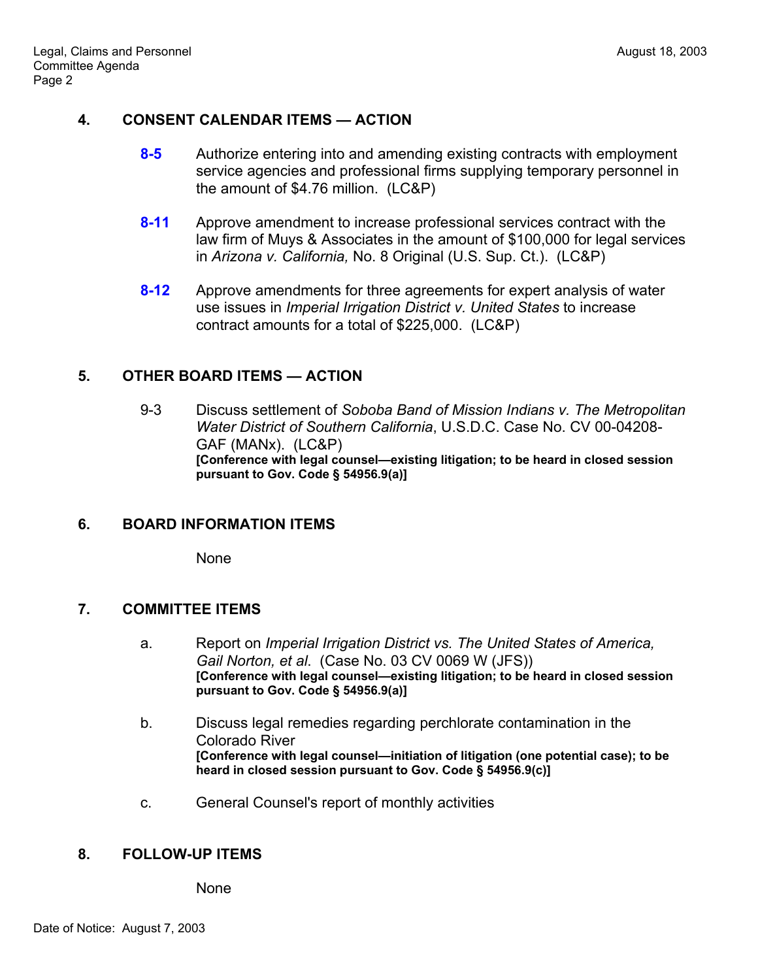## **4. CONSENT CALENDAR ITEMS — ACTION**

- **8-5** Authorize entering into and amending existing contracts with employment service agencies and professional firms supplying temporary personnel in the amount of \$4.76 million. (LC&P)
- **8-11** Approve amendment to increase professional services contract with the law firm of Muys & Associates in the amount of \$100,000 for legal services in *Arizona v. California,* No. 8 Original (U.S. Sup. Ct.). (LC&P)
- **8-12** Approve amendments for three agreements for expert analysis of water use issues in *Imperial Irrigation District v. United States* to increase contract amounts for a total of \$225,000. (LC&P)

## **5. OTHER BOARD ITEMS — ACTION**

 9-3 Discuss settlement of *Soboba Band of Mission Indians v. The Metropolitan Water District of Southern California*, U.S.D.C. Case No. CV 00-04208- GAF (MANx). (LC&P) **[Conference with legal counsel—existing litigation; to be heard in closed session pursuant to Gov. Code § 54956.9(a)]** 

# **6. BOARD INFORMATION ITEMS**

None

#### **7. COMMITTEE ITEMS**

- a. Report on *Imperial Irrigation District vs. The United States of America, Gail Norton, et al*. (Case No. 03 CV 0069 W (JFS)) **[Conference with legal counsel—existing litigation; to be heard in closed session pursuant to Gov. Code § 54956.9(a)]**
- b. Discuss legal remedies regarding perchlorate contamination in the Colorado River **[Conference with legal counsel—initiation of litigation (one potential case); to be heard in closed session pursuant to Gov. Code § 54956.9(c)]**
- c. General Counsel's report of monthly activities

#### **8. FOLLOW-UP ITEMS**

None